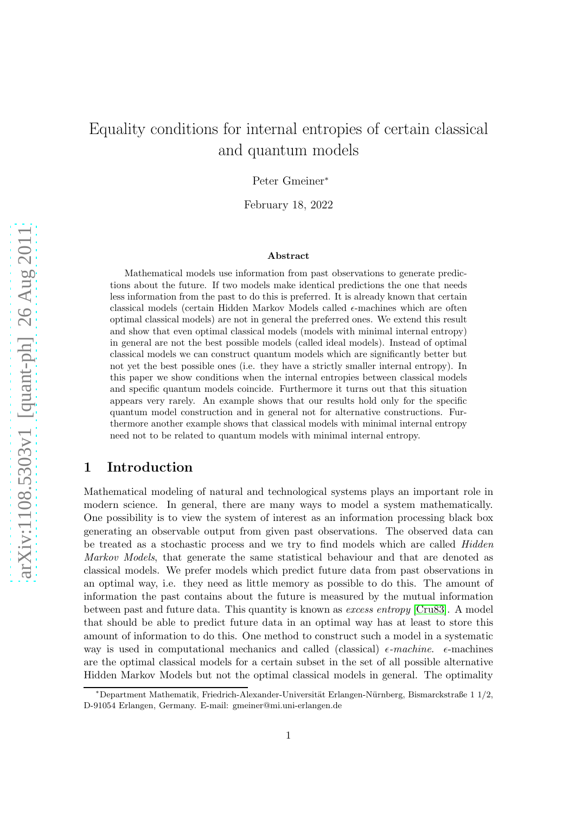# Equality conditions for internal entropies of certain classical and quantum models

Peter Gmeiner<sup>∗</sup>

February 18, 2022

#### Abstract

Mathematical models use information from past observations to generate predictions about the future. If two models make identical predictions the one that needs less information from the past to do this is preferred. It is already known that certain classical models (certain Hidden Markov Models called  $\epsilon$ -machines which are often optimal classical models) are not in general the preferred ones. We extend this result and show that even optimal classical models (models with minimal internal entropy) in general are not the best possible models (called ideal models). Instead of optimal classical models we can construct quantum models which are significantly better but not yet the best possible ones (i.e. they have a strictly smaller internal entropy). In this paper we show conditions when the internal entropies between classical models and specific quantum models coincide. Furthermore it turns out that this situation appears very rarely. An example shows that our results hold only for the specific quantum model construction and in general not for alternative constructions. Furthermore another example shows that classical models with minimal internal entropy need not to be related to quantum models with minimal internal entropy.

#### 1 Introduction

Mathematical modeling of natural and technological systems plays an important role in modern science. In general, there are many ways to model a system mathematically. One possibility is to view the system of interest as an information processing black box generating an observable output from given past observations. The observed data can be treated as a stochastic process and we try to find models which are called Hidden Markov Models, that generate the same statistical behaviour and that are denoted as classical models. We prefer models which predict future data from past observations in an optimal way, i.e. they need as little memory as possible to do this. The amount of information the past contains about the future is measured by the mutual information between past and future data. This quantity is known as excess entropy [\[Cru83\]](#page-17-0). A model that should be able to predict future data in an optimal way has at least to store this amount of information to do this. One method to construct such a model in a systematic way is used in computational mechanics and called (classical)  $\epsilon$ -machine.  $\epsilon$ -machines are the optimal classical models for a certain subset in the set of all possible alternative Hidden Markov Models but not the optimal classical models in general. The optimality

<sup>∗</sup>Department Mathematik, Friedrich-Alexander-Universit¨at Erlangen-N¨urnberg, Bismarckstraße 1 1/2, D-91054 Erlangen, Germany. E-mail: gmeiner@mi.uni-erlangen.de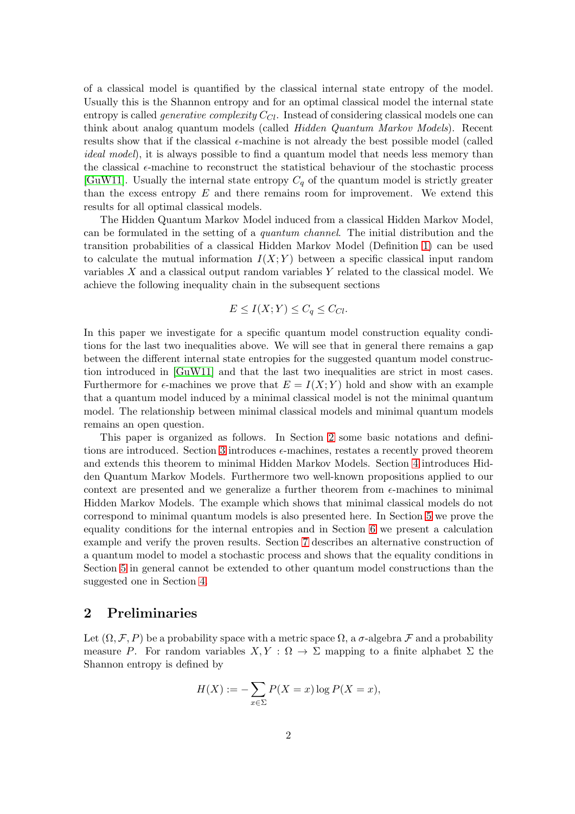of a classical model is quantified by the classical internal state entropy of the model. Usually this is the Shannon entropy and for an optimal classical model the internal state entropy is called *generative complexity*  $C_{Cl}$ . Instead of considering classical models one can think about analog quantum models (called Hidden Quantum Markov Models). Recent results show that if the classical  $\epsilon$ -machine is not already the best possible model (called *ideal model*), it is always possible to find a quantum model that needs less memory than the classical  $\epsilon$ -machine to reconstruct the statistical behaviour of the stochastic process [\[GuW11\]](#page-17-1). Usually the internal state entropy  $C_q$  of the quantum model is strictly greater than the excess entropy  $E$  and there remains room for improvement. We extend this results for all optimal classical models.

The Hidden Quantum Markov Model induced from a classical Hidden Markov Model, can be formulated in the setting of a quantum channel. The initial distribution and the transition probabilities of a classical Hidden Markov Model (Definition [1\)](#page-2-0) can be used to calculate the mutual information  $I(X; Y)$  between a specific classical input random variables X and a classical output random variables Y related to the classical model. We achieve the following inequality chain in the subsequent sections

$$
E \le I(X;Y) \le C_q \le C_{Cl}.
$$

In this paper we investigate for a specific quantum model construction equality conditions for the last two inequalities above. We will see that in general there remains a gap between the different internal state entropies for the suggested quantum model construction introduced in [\[GuW11\]](#page-17-1) and that the last two inequalities are strict in most cases. Furthermore for  $\epsilon$ -machines we prove that  $E = I(X; Y)$  hold and show with an example that a quantum model induced by a minimal classical model is not the minimal quantum model. The relationship between minimal classical models and minimal quantum models remains an open question.

This paper is organized as follows. In Section [2](#page-1-0) some basic notations and defini-tions are introduced. Section [3](#page-3-0) introduces  $\epsilon$ -machines, restates a recently proved theorem and extends this theorem to minimal Hidden Markov Models. Section [4](#page-5-0) introduces Hidden Quantum Markov Models. Furthermore two well-known propositions applied to our context are presented and we generalize a further theorem from  $\epsilon$ -machines to minimal Hidden Markov Models. The example which shows that minimal classical models do not correspond to minimal quantum models is also presented here. In Section [5](#page-11-0) we prove the equality conditions for the internal entropies and in Section [6](#page-13-0) we present a calculation example and verify the proven results. Section [7](#page-15-0) describes an alternative construction of a quantum model to model a stochastic process and shows that the equality conditions in Section [5](#page-11-0) in general cannot be extended to other quantum model constructions than the suggested one in Section [4.](#page-5-0)

#### <span id="page-1-0"></span>2 Preliminaries

Let  $(\Omega, \mathcal{F}, P)$  be a probability space with a metric space  $\Omega$ , a  $\sigma$ -algebra  $\mathcal F$  and a probability measure P. For random variables  $X, Y : \Omega \to \Sigma$  mapping to a finite alphabet  $\Sigma$  the Shannon entropy is defined by

$$
H(X) := -\sum_{x \in \Sigma} P(X = x) \log P(X = x),
$$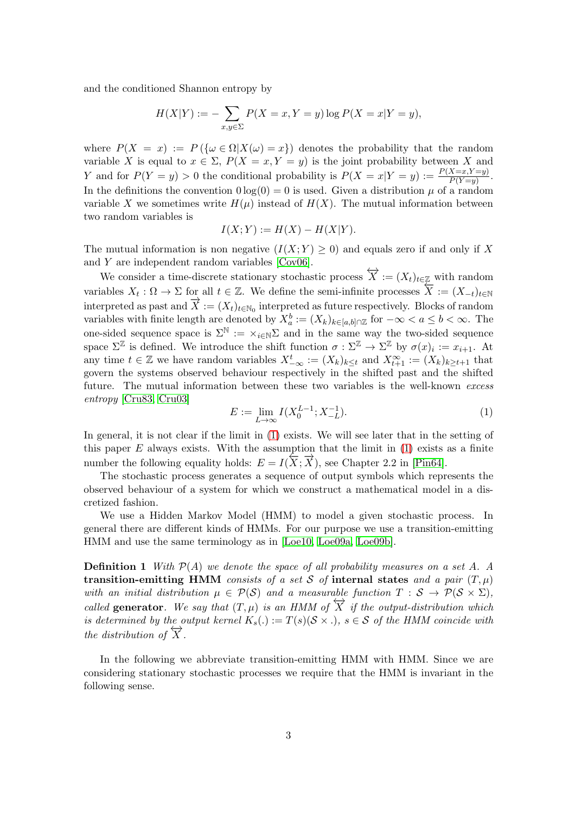and the conditioned Shannon entropy by

$$
H(X|Y) := -\sum_{x,y \in \Sigma} P(X = x, Y = y) \log P(X = x|Y = y),
$$

where  $P(X = x) := P(\{\omega \in \Omega | X(\omega) = x\})$  denotes the probability that the random variable X is equal to  $x \in \Sigma$ ,  $P(X = x, Y = y)$  is the joint probability between X and Y and for  $P(Y = y) > 0$  the conditional probability is  $P(X = x|Y = y) := \frac{P(X=x,Y=y)}{P(Y=y)}$ . In the definitions the convention  $0 \log(0) = 0$  is used. Given a distribution  $\mu$  of a random variable X we sometimes write  $H(\mu)$  instead of  $H(X)$ . The mutual information between two random variables is

$$
I(X;Y) := H(X) - H(X|Y).
$$

The mutual information is non negative  $(I(X; Y) \geq 0)$  and equals zero if and only if X and Y are independent random variables [\[Cov06\]](#page-17-2).

We consider a time-discrete stationary stochastic process  $\overleftrightarrow{X} := (X_t)_{t \in \mathbb{Z}}$  with random variables  $X_t: \Omega \to \Sigma$  for all  $t \in \mathbb{Z}$ . We define the semi-infinite processes  $\overleftarrow{X} := (X_{-t})_{t \in \mathbb{N}}$ interpreted as past and  $\overrightarrow{X} := (X_t)_{t \in \mathbb{N}_0}$  interpreted as future respectively. Blocks of random variables with finite length are denoted by  $X_a^b := (X_k)_{k \in [a,b] \cap \mathbb{Z}}$  for  $-\infty < a \leq b < \infty$ . The one-sided sequence space is  $\Sigma^{\mathbb{N}} := \times_{i \in \mathbb{N}} \Sigma$  and in the same way the two-sided sequence space  $\Sigma^{\mathbb{Z}}$  is defined. We introduce the shift function  $\sigma : \Sigma^{\mathbb{Z}} \to \Sigma^{\mathbb{Z}}$  by  $\sigma(x)_i := x_{i+1}$ . At any time  $t \in \mathbb{Z}$  we have random variables  $X_{-\infty}^t := (X_k)_{k \leq t}$  and  $X_{t+1}^{\infty} := (X_k)_{k \geq t+1}$  that govern the systems observed behaviour respectively in the shifted past and the shifted future. The mutual information between these two variables is the well-known excess entropy [\[Cru83,](#page-17-0) [Cru03\]](#page-17-3)

<span id="page-2-1"></span>
$$
E := \lim_{L \to \infty} I(X_0^{L-1}; X_{-L}^{-1}).
$$
\n(1)

In general, it is not clear if the limit in [\(1\)](#page-2-1) exists. We will see later that in the setting of this paper  $E$  always exists. With the assumption that the limit in  $(1)$  exists as a finite number the following equality holds:  $E = I(\overleftarrow{X}; \overrightarrow{X})$ , see Chapter 2.2 in [\[Pin64\]](#page-18-0).

The stochastic process generates a sequence of output symbols which represents the observed behaviour of a system for which we construct a mathematical model in a discretized fashion.

We use a Hidden Markov Model (HMM) to model a given stochastic process. In general there are different kinds of HMMs. For our purpose we use a transition-emitting HMM and use the same terminology as in [\[Loe10,](#page-17-4) [Loe09a,](#page-17-5) [Loe09b\]](#page-17-6).

<span id="page-2-0"></span>**Definition 1** With  $\mathcal{P}(A)$  we denote the space of all probability measures on a set A. A transition-emitting HMM consists of a set S of internal states and a pair  $(T, \mu)$ with an initial distribution  $\mu \in \mathcal{P}(\mathcal{S})$  and a measurable function  $T : \mathcal{S} \to \mathcal{P}(\mathcal{S} \times \Sigma)$ , called generator. We say that  $(T, \mu)$  is an HMM of  $\overleftrightarrow{X}$  if the output-distribution which is determined by the output kernel  $K_s(.) := T(s)(S \times .)$ ,  $s \in S$  of the HMM coincide with the distribution of  $\overrightarrow{X}$ .

In the following we abbreviate transition-emitting HMM with HMM. Since we are considering stationary stochastic processes we require that the HMM is invariant in the following sense.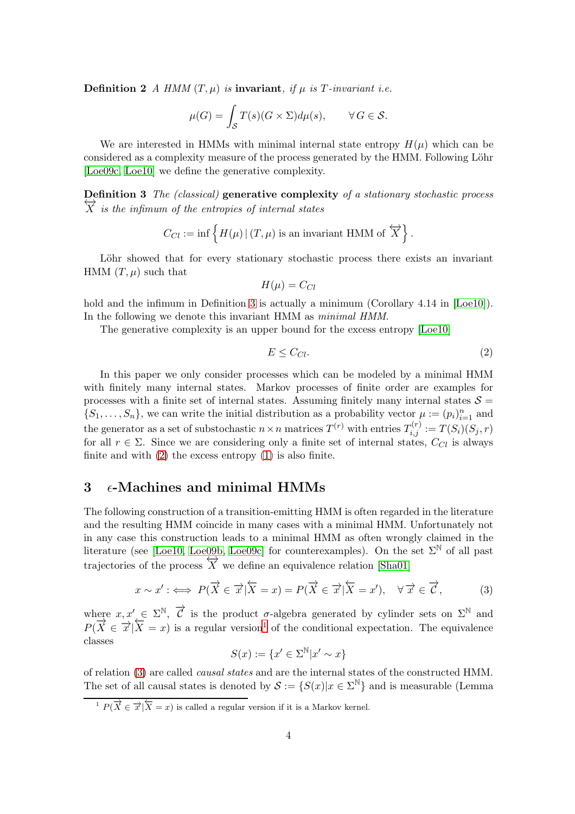**Definition 2** A HMM  $(T, \mu)$  is **invariant**, if  $\mu$  is T-invariant i.e.

$$
\mu(G) = \int_{\mathcal{S}} T(s)(G \times \Sigma) d\mu(s), \qquad \forall G \in \mathcal{S}.
$$

We are interested in HMMs with minimal internal state entropy  $H(\mu)$  which can be considered as a complexity measure of the process generated by the HMM. Following Löhr [\[Loe09c,](#page-17-7) [Loe10\]](#page-17-4) we define the generative complexity.

<span id="page-3-1"></span>Definition 3 The (classical) generative complexity of a stationary stochastic process  $\overleftrightarrow{X}$  is the infimum of the entropies of internal states

$$
C_{Cl} := \inf \{ H(\mu) | (T, \mu) \text{ is an invariant HMM of } \overleftrightarrow{X} \}
$$

Löhr showed that for every stationary stochastic process there exists an invariant HMM  $(T, \mu)$  such that

$$
H(\mu) = C_{Cl}
$$

hold and the infimum in Definition [3](#page-3-1) is actually a minimum (Corollary 4.14 in [\[Loe10\]](#page-17-4)). In the following we denote this invariant HMM as *minimal HMM*.

The generative complexity is an upper bound for the excess entropy [\[Loe10\]](#page-17-4)

<span id="page-3-2"></span>
$$
E \le C_{Cl}.\tag{2}
$$

.

In this paper we only consider processes which can be modeled by a minimal HMM with finitely many internal states. Markov processes of finite order are examples for processes with a finite set of internal states. Assuming finitely many internal states  $S =$  $\{S_1,\ldots,S_n\}$ , we can write the initial distribution as a probability vector  $\mu := (p_i)_{i=1}^n$  and the generator as a set of substochastic  $n \times n$  matrices  $T^{(r)}$  with entries  $T^{(r)}_{i,j} := T(S_i)(S_j, r)$ for all  $r \in \Sigma$ . Since we are considering only a finite set of internal states,  $C_{Cl}$  is always finite and with  $(2)$  the excess entropy  $(1)$  is also finite.

#### <span id="page-3-0"></span> $3 \epsilon$ -Machines and minimal HMMs

The following construction of a transition-emitting HMM is often regarded in the literature and the resulting HMM coincide in many cases with a minimal HMM. Unfortunately not in any case this construction leads to a minimal HMM as often wrongly claimed in the literature (see [\[Loe10,](#page-17-4) [Loe09b,](#page-17-6) [Loe09c\]](#page-17-7) for counterexamples). On the set  $\Sigma^{\mathbb{N}}$  of all past trajectories of the process  $\overleftrightarrow{X}$  we define an equivalence relation [\[Sha01\]](#page-18-1)

<span id="page-3-4"></span>
$$
x \sim x' : \iff P(\overrightarrow{X} \in \overrightarrow{x} | \overleftarrow{X} = x) = P(\overrightarrow{X} \in \overrightarrow{x} | \overleftarrow{X} = x'), \quad \forall \overrightarrow{x} \in \overrightarrow{C}, \tag{3}
$$

where  $x, x' \in \Sigma^{\mathbb{N}}, \overrightarrow{C}$  is the product  $\sigma$ -algebra generated by cylinder sets on  $\Sigma^{\mathbb{N}}$  and  $P(\overrightarrow{X} \in \overrightarrow{x} | \overleftarrow{X} = x)$  is a regular version<sup>[1](#page-3-3)</sup> of the conditional expectation. The equivalence classes

$$
S(x) := \{x' \in \Sigma^{\mathbb{N}} | x' \sim x\}
$$

of relation [\(3\)](#page-3-4) are called causal states and are the internal states of the constructed HMM. The set of all causal states is denoted by  $S := \{S(x)|x \in \Sigma^{\mathbb{N}}\}\$ and is measurable (Lemma

<span id="page-3-3"></span> $\overrightarrow{P(X \in \overrightarrow{x} | X = x)}$  is called a regular version if it is a Markov kernel.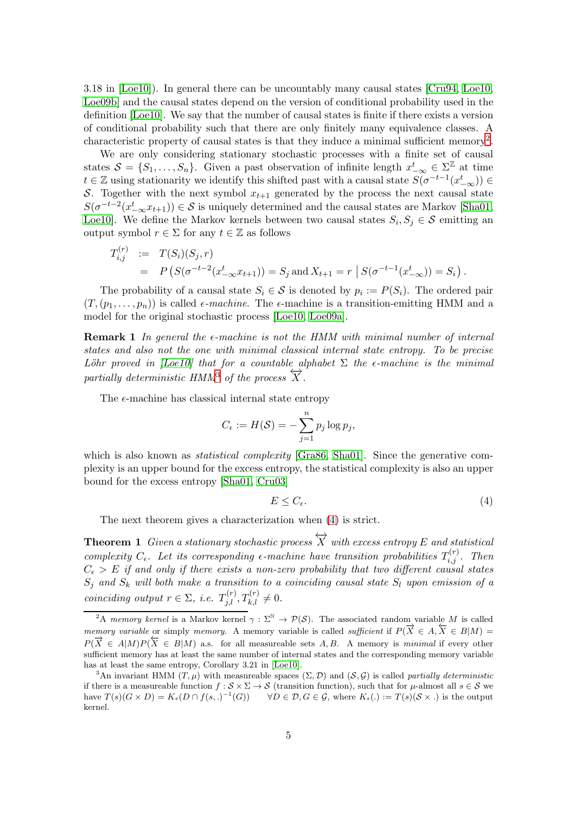3.18 in [\[Loe10\]](#page-17-4)). In general there can be uncountably many causal states [\[Cru94,](#page-17-8) [Loe10,](#page-17-4) [Loe09b\]](#page-17-6) and the causal states depend on the version of conditional probability used in the definition [\[Loe10\]](#page-17-4). We say that the number of causal states is finite if there exists a version of conditional probability such that there are only finitely many equivalence classes. A characteristic property of causal states is that they induce a minimal sufficient memory<sup>[2](#page-4-0)</sup>.

We are only considering stationary stochastic processes with a finite set of causal states  $S = \{S_1, \ldots, S_n\}$ . Given a past observation of infinite length  $x_{-\infty}^t \in \Sigma^{\mathbb{Z}}$  at time  $t \in \mathbb{Z}$  using stationarity we identify this shifted past with a causal state  $S(\sigma^{-t-1}(x_{-\infty}^t)) \in$ S. Together with the next symbol  $x_{t+1}$  generated by the process the next causal state  $S(\sigma^{-t-2}(x_{-\infty}^t x_{t+1})) \in S$  is uniquely determined and the causal states are Markov [\[Sha01,](#page-18-1) [Loe10\]](#page-17-4). We define the Markov kernels between two causal states  $S_i, S_j \in \mathcal{S}$  emitting an output symbol  $r \in \Sigma$  for any  $t \in \mathbb{Z}$  as follows

$$
T_{i,j}^{(r)} := T(S_i)(S_j, r)
$$
  
=  $P(S(\sigma^{-t-2}(x_{-\infty}^t x_{t+1})) = S_j \text{ and } X_{t+1} = r | S(\sigma^{-t-1}(x_{-\infty}^t)) = S_i).$ 

The probability of a causal state  $S_i \in \mathcal{S}$  is denoted by  $p_i := P(S_i)$ . The ordered pair  $(T,(p_1,\ldots,p_n))$  is called  $\epsilon$ -machine. The  $\epsilon$ -machine is a transition-emitting HMM and a model for the original stochastic process [\[Loe10,](#page-17-4) [Loe09a\]](#page-17-5).

**Remark 1** In general the  $\epsilon$ -machine is not the HMM with minimal number of internal states and also not the one with minimal classical internal state entropy. To be precise Löhr proved in [\[Loe10\]](#page-17-4) that for a countable alphabet  $\Sigma$  the  $\epsilon$ -machine is the minimal partially deterministic HMM<sup>[3](#page-4-1)</sup> of the process  $\overrightarrow{X}$ .

The  $\epsilon$ -machine has classical internal state entropy

$$
C_{\epsilon} := H(\mathcal{S}) = -\sum_{j=1}^{n} p_j \log p_j,
$$

which is also known as *statistical complexity*  $[Gra86, Sha01]$  $[Gra86, Sha01]$ . Since the generative complexity is an upper bound for the excess entropy, the statistical complexity is also an upper bound for the excess entropy [\[Sha01,](#page-18-1) [Cru03\]](#page-17-3)

<span id="page-4-2"></span>
$$
E \le C_{\epsilon}.\tag{4}
$$

<span id="page-4-3"></span>The next theorem gives a characterization when [\(4\)](#page-4-2) is strict.

**Theorem 1** Given a stationary stochastic process  $\overleftrightarrow{X}$  with excess entropy E and statistical complexity  $C_{\epsilon}$ . Let its corresponding  $\epsilon$ -machine have transition probabilities  $T_{i,j}^{(r)}$ . Then  $C_{\epsilon} > E$  if and only if there exists a non-zero probability that two different causal states  $S_j$  and  $S_k$  will both make a transition to a coinciding causal state  $S_l$  upon emission of a coinciding output  $r \in \Sigma$ , i.e.  $T_{j,l}^{(r)}$ ,  $T_{k,l}^{(r)} \neq 0$ .

<span id="page-4-0"></span><sup>&</sup>lt;sup>2</sup>A memory kernel is a Markov kernel  $\gamma : \Sigma^{\mathbb{N}} \to \mathcal{P}(\mathcal{S})$ . The associated random variable M is called memory variable or simply memory. A memory variable is called *sufficient* if  $P(\overline{X} \in A, \overline{X} \in B|M) =$  $P(\overrightarrow{X} \in A|M)P(\overleftarrow{X} \in B|M)$  a.s. for all measureable sets A, B. A memory is minimal if every other sufficient memory has at least the same number of internal states and the corresponding memory variable has at least the same entropy, Corollary 3.21 in [\[Loe10\]](#page-17-4).

<span id="page-4-1"></span><sup>&</sup>lt;sup>3</sup>An invariant HMM (T,  $\mu$ ) with measureable spaces ( $\Sigma$ ,  $\mathcal{D}$ ) and (S,  $\mathcal{G}$ ) is called partially deterministic if there is a measureable function  $f : \mathcal{S} \times \Sigma \to \mathcal{S}$  (transition function), such that for  $\mu$ -almost all  $s \in \mathcal{S}$  we have  $T(s)(G \times D) = K_s(D \cap f(s, .)^{-1}(G))$   $\forall D \in \mathcal{D}, G \in \mathcal{G}, \text{ where } K_s(.) := T(s)(S \times .)$  is the output kernel.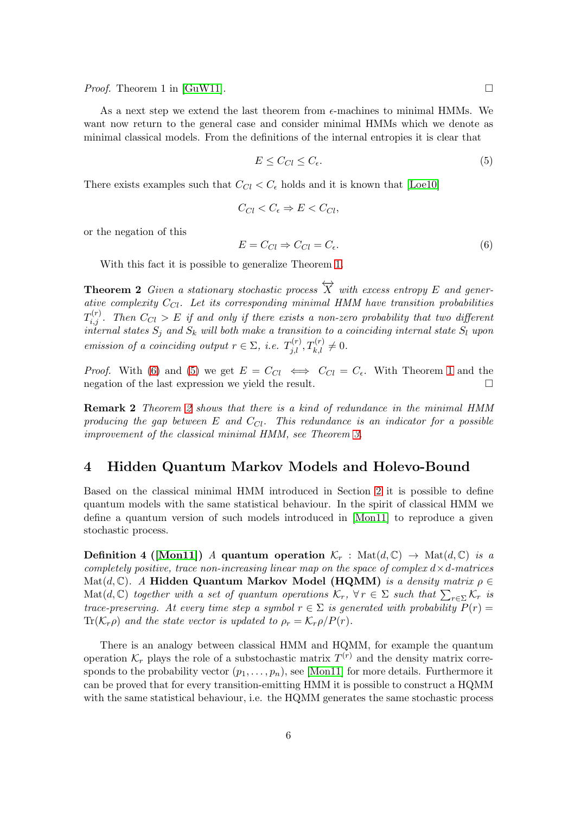*Proof.* Theorem 1 in [\[GuW11\]](#page-17-1).

As a next step we extend the last theorem from  $\epsilon$ -machines to minimal HMMs. We want now return to the general case and consider minimal HMMs which we denote as minimal classical models. From the definitions of the internal entropies it is clear that

<span id="page-5-2"></span>
$$
E \le C_{Cl} \le C_{\epsilon}.\tag{5}
$$

There exists examples such that  $C_{Cl} < C_{\epsilon}$  holds and it is known that [\[Loe10\]](#page-17-4)

$$
C_{Cl} < C_{\epsilon} \Rightarrow E < C_{Cl},
$$

or the negation of this

<span id="page-5-1"></span>
$$
E = C_{Cl} \Rightarrow C_{Cl} = C_{\epsilon}.
$$
\n<sup>(6)</sup>

<span id="page-5-3"></span>With this fact it is possible to generalize Theorem [1.](#page-4-3)

**Theorem 2** Given a stationary stochastic process  $\overleftrightarrow{X}$  with excess entropy E and generative complexity  $C_{Cl}$ . Let its corresponding minimal HMM have transition probabilities  $T_{i,j}^{(r)}$ . Then  $C_{Cl}>E$  if and only if there exists a non-zero probability that two different internal states  $S_j$  and  $S_k$  will both make a transition to a coinciding internal state  $S_l$  upon emission of a coinciding output  $r \in \Sigma$ , i.e.  $T_{j,l}^{(r)}, T_{k,l}^{(r)} \neq 0$ .

*Proof.* With [\(6\)](#page-5-1) and [\(5\)](#page-5-2) we get  $E = C_{Cl} \iff C_{Cl} = C_{\epsilon}$ . With Theorem [1](#page-4-3) and the negation of the last expression we yield the result. negation of the last expression we yield the result.

Remark 2 Theorem [2](#page-5-3) shows that there is a kind of redundance in the minimal HMM producing the gap between E and  $C_{Cl}$ . This redundance is an indicator for a possible improvement of the classical minimal HMM, see Theorem [3.](#page-11-1)

#### <span id="page-5-0"></span>4 Hidden Quantum Markov Models and Holevo-Bound

Based on the classical minimal HMM introduced in Section [2](#page-1-0) it is possible to define quantum models with the same statistical behaviour. In the spirit of classical HMM we define a quantum version of such models introduced in [\[Mon11\]](#page-18-2) to reproduce a given stochastic process.

Definition 4 ([\[Mon11\]](#page-18-2)) A quantum operation  $\mathcal{K}_r$ : Mat $(d, \mathbb{C}) \to \text{Mat}(d, \mathbb{C})$  is a completely positive, trace non-increasing linear map on the space of complex  $d \times d$ -matrices  $\mathrm{Mat}(d,\mathbb{C})$ . A Hidden Quantum Markov Model (HQMM) is a density matrix  $\rho \in$ Mat(d, C) together with a set of quantum operations  $\mathcal{K}_r$ ,  $\forall r \in \Sigma$  such that  $\sum_{r \in \Sigma} \mathcal{K}_r$  is trace-preserving. At every time step a symbol  $r \in \Sigma$  is generated with probability  $P(r)$  =  $\text{Tr}(\mathcal{K}_r \rho)$  and the state vector is updated to  $\rho_r = \mathcal{K}_r \rho / P(r)$ .

There is an analogy between classical HMM and HQMM, for example the quantum operation  $\mathcal{K}_r$  plays the role of a substochastic matrix  $T^{(r)}$  and the density matrix corresponds to the probability vector  $(p_1, \ldots, p_n)$ , see [\[Mon11\]](#page-18-2) for more details. Furthermore it can be proved that for every transition-emitting HMM it is possible to construct a HQMM with the same statistical behaviour, i.e. the HQMM generates the same stochastic process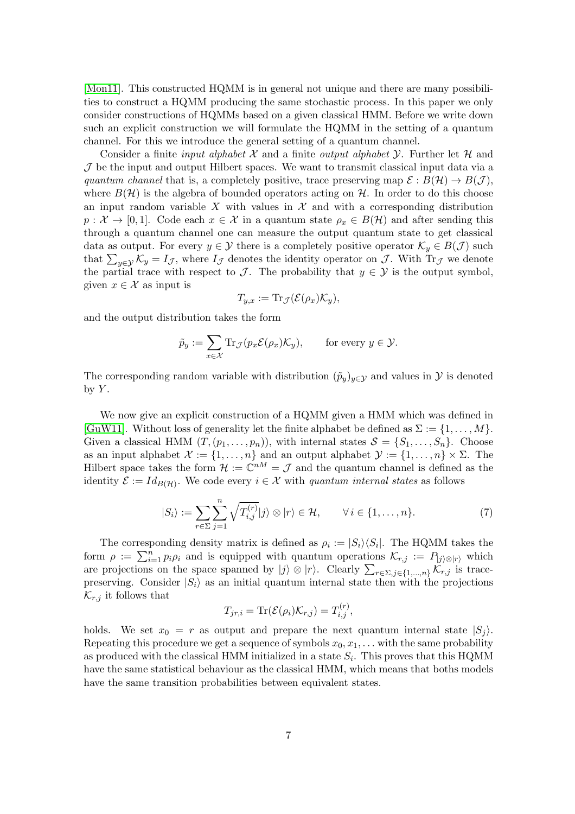[\[Mon11\]](#page-18-2). This constructed HQMM is in general not unique and there are many possibilities to construct a HQMM producing the same stochastic process. In this paper we only consider constructions of HQMMs based on a given classical HMM. Before we write down such an explicit construction we will formulate the HQMM in the setting of a quantum channel. For this we introduce the general setting of a quantum channel.

Consider a finite *input alphabet*  $\mathcal X$  and a finite *output alphabet*  $\mathcal Y$ . Further let  $\mathcal H$  and  $J$  be the input and output Hilbert spaces. We want to transmit classical input data via a quantum channel that is, a completely positive, trace preserving map  $\mathcal{E}: B(\mathcal{H}) \to B(\mathcal{J})$ , where  $B(\mathcal{H})$  is the algebra of bounded operators acting on  $\mathcal{H}$ . In order to do this choose an input random variable X with values in  $\mathcal X$  and with a corresponding distribution  $p: \mathcal{X} \to [0,1].$  Code each  $x \in \mathcal{X}$  in a quantum state  $\rho_x \in B(\mathcal{H})$  and after sending this through a quantum channel one can measure the output quantum state to get classical data as output. For every  $y \in \mathcal{Y}$  there is a completely positive operator  $\mathcal{K}_y \in B(\mathcal{J})$  such that  $\sum_{y \in \mathcal{Y}} \mathcal{K}_y = I_{\mathcal{J}}$ , where  $I_{\mathcal{J}}$  denotes the identity operator on  $\mathcal{J}$ . With  $\text{Tr}_{\mathcal{J}}$  we denote the partial trace with respect to  $\mathcal{J}$ . The probability that  $y \in \mathcal{Y}$  is the output symbol, given  $x \in \mathcal{X}$  as input is

$$
T_{y,x} := \mathrm{Tr}_{\mathcal{J}}(\mathcal{E}(\rho_x)\mathcal{K}_y),
$$

and the output distribution takes the form

$$
\tilde{p}_y := \sum_{x \in \mathcal{X}} \text{Tr}_{\mathcal{J}}(p_x \mathcal{E}(\rho_x) \mathcal{K}_y), \quad \text{for every } y \in \mathcal{Y}.
$$

The corresponding random variable with distribution  $(\tilde{p}_y)_{y\in\mathcal{Y}}$  and values in Y is denoted by  $Y$ .

We now give an explicit construction of a HQMM given a HMM which was defined in [\[GuW11\]](#page-17-1). Without loss of generality let the finite alphabet be defined as  $\Sigma := \{1, \ldots, M\}$ . Given a classical HMM  $(T,(p_1,\ldots,p_n))$ , with internal states  $S = \{S_1,\ldots,S_n\}$ . Choose as an input alphabet  $\mathcal{X} := \{1, \ldots, n\}$  and an output alphabet  $\mathcal{Y} := \{1, \ldots, n\} \times \Sigma$ . The Hilbert space takes the form  $\mathcal{H} := \mathbb{C}^{nM} = \mathcal{J}$  and the quantum channel is defined as the identity  $\mathcal{E} := Id_{B(\mathcal{H})}$ . We code every  $i \in \mathcal{X}$  with quantum internal states as follows

<span id="page-6-0"></span>
$$
|S_i\rangle := \sum_{r \in \Sigma} \sum_{j=1}^n \sqrt{T_{i,j}^{(r)}} |j\rangle \otimes |r\rangle \in \mathcal{H}, \qquad \forall i \in \{1, \dots, n\}.
$$
 (7)

The corresponding density matrix is defined as  $\rho_i := |S_i\rangle\langle S_i|$ . The HQMM takes the form  $\rho := \sum_{i=1}^n p_i \rho_i$  and is equipped with quantum operations  $\mathcal{K}_{r,j} := P_{|j\rangle \otimes |r\rangle}$  which are projections on the space spanned by  $|j\rangle \otimes |r\rangle$ . Clearly  $\sum_{r \in \Sigma, j \in \{1, ..., n\}} \mathcal{K}_{r,j}$  is tracepreserving. Consider  $|S_i\rangle$  as an initial quantum internal state then with the projections  $\mathcal{K}_{r,j}$  it follows that  $($ 

$$
T_{jr,i} = \text{Tr}(\mathcal{E}(\rho_i)\mathcal{K}_{r,j}) = T_{i,j}^{(r)},
$$

holds. We set  $x_0 = r$  as output and prepare the next quantum internal state  $|S_i\rangle$ . Repeating this procedure we get a sequence of symbols  $x_0, x_1, \ldots$  with the same probability as produced with the classical HMM initialized in a state  $S_i$ . This proves that this HQMM have the same statistical behaviour as the classical HMM, which means that boths models have the same transition probabilities between equivalent states.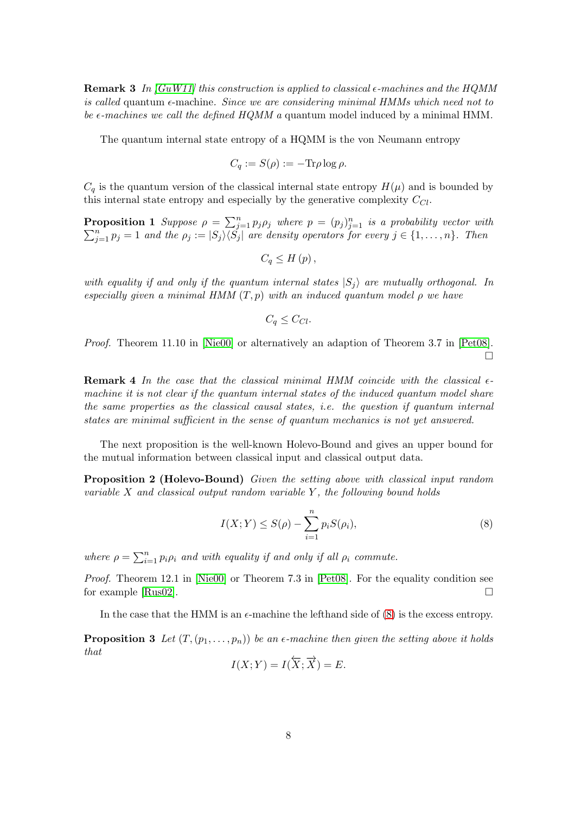**Remark 3** In [\[GuW11\]](#page-17-1) this construction is applied to classical  $\epsilon$ -machines and the HQMM is called quantum  $\epsilon$ -machine. Since we are considering minimal HMMs which need not to be  $\epsilon$ -machines we call the defined HQMM a quantum model induced by a minimal HMM.

The quantum internal state entropy of a HQMM is the von Neumann entropy

$$
C_q := S(\rho) := -\text{Tr}\rho \log \rho.
$$

 $C_q$  is the quantum version of the classical internal state entropy  $H(\mu)$  and is bounded by this internal state entropy and especially by the generative complexity  $C_{Cl}$ .

**Proposition 1** Suppose  $\rho = \sum_{j=1}^{n} p_j \rho_j$  where  $p = (p_j)_{j=1}^n$  $\sum$ **coposition 1** Suppose  $\rho = \sum_{j=1}^{n} p_j \rho_j$  where  $p = (p_j)_{j=1}^{n}$  is a probability vector with  $\sum_{j=1}^{n} p_j = 1$  and the  $\rho_j := |S_j\rangle\langle S_j|$  are density operators for every  $j \in \{1, \ldots, n\}$ . Then

$$
C_q\leq H\left(p\right),\,
$$

with equality if and only if the quantum internal states  $|S_i\rangle$  are mutually orthogonal. In especially given a minimal HMM  $(T, p)$  with an induced quantum model  $\rho$  we have

$$
C_q \leq C_{Cl}.
$$

Proof. Theorem 11.10 in [\[Nie00\]](#page-18-3) or alternatively an adaption of Theorem 3.7 in [\[Pet08\]](#page-18-4).  $\Box$ 

**Remark 4** In the case that the classical minimal HMM coincide with the classical  $\epsilon$ machine it is not clear if the quantum internal states of the induced quantum model share the same properties as the classical causal states, i.e. the question if quantum internal states are minimal sufficient in the sense of quantum mechanics is not yet answered.

The next proposition is the well-known Holevo-Bound and gives an upper bound for the mutual information between classical input and classical output data.

Proposition 2 (Holevo-Bound) Given the setting above with classical input random variable  $X$  and classical output random variable  $Y$ , the following bound holds

<span id="page-7-0"></span>
$$
I(X;Y) \le S(\rho) - \sum_{i=1}^{n} p_i S(\rho_i),
$$
\n(8)

where  $\rho = \sum_{i=1}^{n} p_i \rho_i$  and with equality if and only if all  $\rho_i$  commute.

Proof. Theorem 12.1 in [\[Nie00\]](#page-18-3) or Theorem 7.3 in [\[Pet08\]](#page-18-4). For the equality condition see for example [\[Rus02\]](#page-18-5).

<span id="page-7-1"></span>In the case that the HMM is an  $\epsilon$ -machine the lefthand side of [\(8\)](#page-7-0) is the excess entropy.

**Proposition 3** Let  $(T,(p_1,\ldots,p_n))$  be an  $\epsilon$ -machine then given the setting above it holds that

$$
I(X;Y) = I(\overleftarrow{X};\overrightarrow{X}) = E.
$$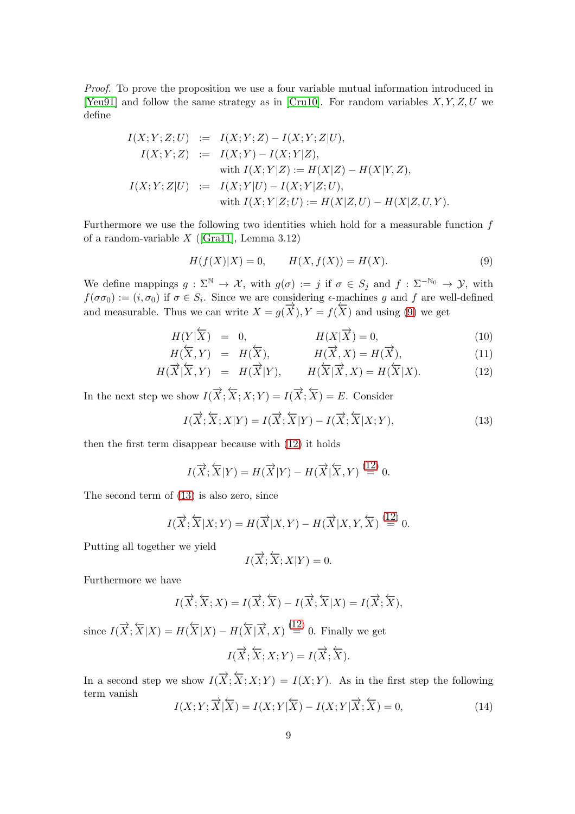Proof. To prove the proposition we use a four variable mutual information introduced in [\[Yeu91\]](#page-18-6) and follow the same strategy as in [\[Cru10\]](#page-17-10). For random variables  $X, Y, Z, U$  we define

$$
I(X; Y; Z; U) := I(X; Y; Z) - I(X; Y; Z|U),
$$
  
\n
$$
I(X; Y; Z) := I(X; Y) - I(X; Y|Z),
$$
  
\nwith 
$$
I(X; Y|Z) := H(X|Z) - H(X|Y, Z),
$$
  
\n
$$
I(X; Y; Z|U) := I(X; Y|U) - I(X; Y|Z; U),
$$
  
\nwith 
$$
I(X; Y|Z; U) := H(X|Z, U) - H(X|Z, U, Y).
$$

Furthermore we use the following two identities which hold for a measurable function  $f$ of a random-variable  $X$  ([\[Gra11\]](#page-17-11), Lemma 3.12)

<span id="page-8-0"></span>
$$
H(f(X)|X) = 0, \qquad H(X, f(X)) = H(X). \tag{9}
$$

We define mappings  $g : \Sigma^{\mathbb{N}} \to \mathcal{X}$ , with  $g(\sigma) := j$  if  $\sigma \in S_j$  and  $f : \Sigma^{-\mathbb{N}_0} \to \mathcal{Y}$ , with  $f(\sigma \sigma_0) := (i, \sigma_0)$  if  $\sigma \in S_i$ . Since we are considering  $\epsilon$ -machines g and f are well-defined and measurable. Thus we can write  $X = g(\overrightarrow{X}), Y = f(\overleftarrow{X})$  and using [\(9\)](#page-8-0) we get

<span id="page-8-1"></span>
$$
H(Y|\overline{X}) = 0, \qquad H(X|\overline{X}) = 0,\tag{10}
$$

$$
H(\overline{X}, Y) = H(\overline{X}), \qquad H(\overline{X}, X) = H(\overline{X}), \tag{11}
$$

$$
H(\overrightarrow{X}|\overleftarrow{X},Y) = H(\overrightarrow{X}|Y), \qquad H(\overleftarrow{X}|\overrightarrow{X},X) = H(\overleftarrow{X}|X). \tag{12}
$$

In the next step we show  $I(\overrightarrow{X};\overleftarrow{X};X;Y) = I(\overrightarrow{X};\overleftarrow{X}) = E$ . Consider

<span id="page-8-2"></span>
$$
I(\overrightarrow{X};\overleftarrow{X};X|Y) = I(\overrightarrow{X};\overleftarrow{X}|Y) - I(\overrightarrow{X};\overleftarrow{X}|X;Y),
$$
\n(13)

then the first term disappear because with [\(12\)](#page-8-1) it holds

$$
I(\overrightarrow{X};\overleftarrow{X}|Y) = H(\overrightarrow{X}|Y) - H(\overrightarrow{X}|\overleftarrow{X},Y) \stackrel{(12)}{=} 0.
$$

The second term of [\(13\)](#page-8-2) is also zero, since

$$
I(\overrightarrow{X};\overleftarrow{X}|X;Y) = H(\overrightarrow{X}|X,Y) - H(\overrightarrow{X}|X,Y,\overleftarrow{X}) \stackrel{(12)}{=} 0.
$$

Putting all together we yield

$$
I(\overrightarrow{X};\overleftarrow{X};X|Y)=0.
$$

Furthermore we have

$$
I(\overrightarrow{X}; \overleftarrow{X}; X) = I(\overrightarrow{X}; \overleftarrow{X}) - I(\overrightarrow{X}; \overleftarrow{X}|X) = I(\overrightarrow{X}; \overleftarrow{X}),
$$
  
since  $I(\overrightarrow{X}; \overleftarrow{X}|X) = H(\overleftarrow{X}|X) - H(\overleftarrow{X}|\overrightarrow{X}, X) \stackrel{(12)}{=} 0$ . Finally we get  

$$
I(\overrightarrow{X}; \overleftarrow{X}; X; Y) = I(\overrightarrow{X}; \overleftarrow{X}).
$$

In a second step we show 
$$
I(\overrightarrow{X}; \overleftarrow{X}; X; Y) = I(X; Y)
$$
. As in the first step the following term vanish

$$
I(X;Y;\overrightarrow{X}|\overleftarrow{X}) = I(X;Y|\overleftarrow{X}) - I(X;Y|\overrightarrow{X};\overleftarrow{X}) = 0,
$$
\n(14)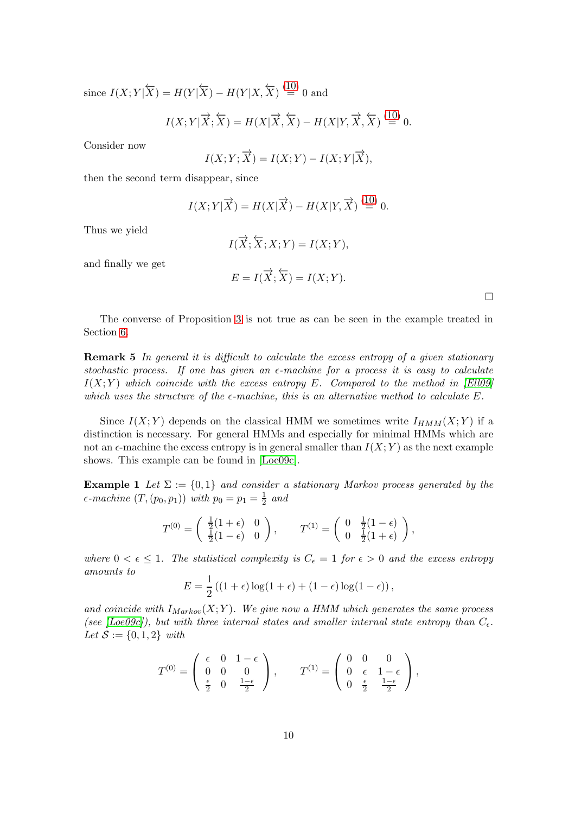since  $I(X;Y|\overleftarrow{X}) = H(Y|\overleftarrow{X}) - H(Y|X,\overleftarrow{X}) \stackrel{(10)}{=} 0$  $I(X;Y|\overleftarrow{X}) = H(Y|\overleftarrow{X}) - H(Y|X,\overleftarrow{X}) \stackrel{(10)}{=} 0$  $I(X;Y|\overleftarrow{X}) = H(Y|\overleftarrow{X}) - H(Y|X,\overleftarrow{X}) \stackrel{(10)}{=} 0$  and

$$
I(X;Y|\overrightarrow{X};\overleftarrow{X}) = H(X|\overrightarrow{X},\overleftarrow{X}) - H(X|Y,\overrightarrow{X},\overleftarrow{X}) \stackrel{(10)}{=} 0.
$$

Consider now

$$
I(X;Y;\overrightarrow{X}) = I(X;Y) - I(X;Y|\overrightarrow{X}),
$$

then the second term disappear, since

$$
I(X;Y|\overrightarrow{X}) = H(X|\overrightarrow{X}) - H(X|Y,\overrightarrow{X}) \stackrel{(10)}{=} 0.
$$

Thus we yield

$$
I(\overrightarrow{X};\overleftarrow{X};X;Y) = I(X;Y),
$$

and finally we get

$$
E = I(\overrightarrow{X}; \overleftarrow{X}) = I(X; Y).
$$

 $\Box$ 

<span id="page-9-1"></span>The converse of Proposition [3](#page-7-1) is not true as can be seen in the example treated in Section [6.](#page-13-0)

Remark 5 In general it is difficult to calculate the excess entropy of a given stationary stochastic process. If one has given an  $\epsilon$ -machine for a process it is easy to calculate  $I(X; Y)$  which coincide with the excess entropy E. Compared to the method in [\[Ell09\]](#page-17-12) which uses the structure of the  $\epsilon$ -machine, this is an alternative method to calculate E.

Since  $I(X; Y)$  depends on the classical HMM we sometimes write  $I_{HMM}(X; Y)$  if a distinction is necessary. For general HMMs and especially for minimal HMMs which are not an  $\epsilon$ -machine the excess entropy is in general smaller than  $I(X; Y)$  as the next example shows. This example can be found in [\[Loe09c\]](#page-17-7).

<span id="page-9-0"></span>**Example 1** Let  $\Sigma := \{0,1\}$  and consider a stationary Markov process generated by the  $\epsilon$ -machine  $(T,(p_0,p_1))$  with  $p_0=p_1=\frac{1}{2}$  $rac{1}{2}$  and

$$
T^{(0)} = \begin{pmatrix} \frac{1}{2}(1+\epsilon) & 0 \\ \frac{1}{2}(1-\epsilon) & 0 \end{pmatrix}, \qquad T^{(1)} = \begin{pmatrix} 0 & \frac{1}{2}(1-\epsilon) \\ 0 & \frac{1}{2}(1+\epsilon) \end{pmatrix},
$$

where  $0 < \epsilon \leq 1$ . The statistical complexity is  $C_{\epsilon} = 1$  for  $\epsilon > 0$  and the excess entropy amounts to

$$
E = \frac{1}{2} ((1 + \epsilon) \log(1 + \epsilon) + (1 - \epsilon) \log(1 - \epsilon)),
$$

and coincide with  $I_{Markov}(X;Y)$ . We give now a HMM which generates the same process (see [\[Loe09c\]](#page-17-7)), but with three internal states and smaller internal state entropy than  $C_{\epsilon}$ . Let  $S := \{0, 1, 2\}$  with

$$
T^{(0)} = \begin{pmatrix} \epsilon & 0 & 1 - \epsilon \\ 0 & 0 & 0 \\ \frac{\epsilon}{2} & 0 & \frac{1 - \epsilon}{2} \end{pmatrix}, \qquad T^{(1)} = \begin{pmatrix} 0 & 0 & 0 \\ 0 & \epsilon & 1 - \epsilon \\ 0 & \frac{\epsilon}{2} & \frac{1 - \epsilon}{2} \end{pmatrix},
$$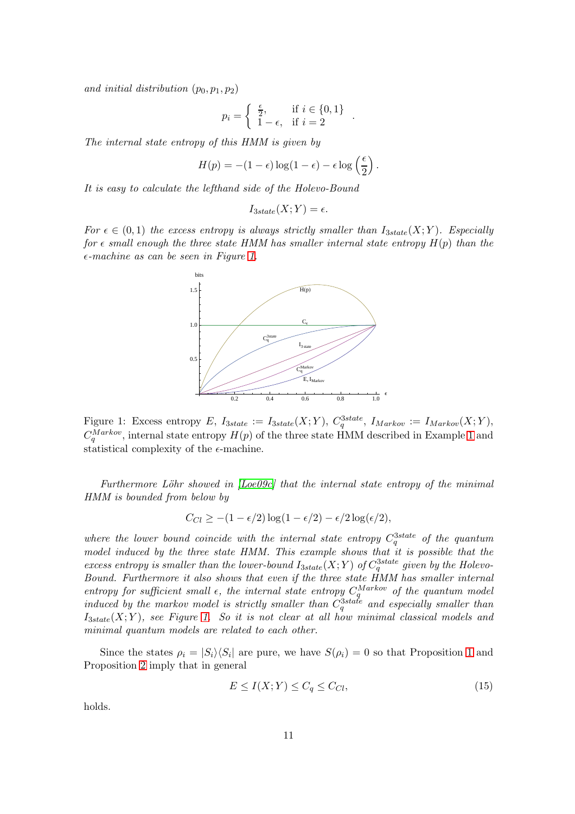and initial distribution  $(p_0, p_1, p_2)$ 

$$
p_i = \begin{cases} \frac{\epsilon}{2}, & \text{if } i \in \{0, 1\} \\ 1 - \epsilon, & \text{if } i = 2 \end{cases}.
$$

The internal state entropy of this HMM is given by

$$
H(p) = -(1 - \epsilon) \log(1 - \epsilon) - \epsilon \log\left(\frac{\epsilon}{2}\right).
$$

It is easy to calculate the lefthand side of the Holevo-Bound

$$
I_{3state}(X;Y) = \epsilon.
$$

For  $\epsilon \in (0,1)$  the excess entropy is always strictly smaller than  $I_{3state}(X;Y)$ . Especially for  $\epsilon$  small enough the three state HMM has smaller internal state entropy  $H(p)$  than the  $\epsilon$ -machine as can be seen in Figure [1.](#page-10-0)



<span id="page-10-0"></span>Figure 1: Excess entropy E,  $I_{3state} := I_{3state}(X;Y)$ ,  $C_q^{3state}$ ,  $I_{Markov} := I_{Markov}(X;Y)$ ,  $C_q^{Markov}$ , internal state entropy  $H(p)$  of the three state HMM described in Example [1](#page-9-0) and statistical complexity of the  $\epsilon$ -machine.

Furthermore Löhr showed in  $[Loe09c]$  that the internal state entropy of the minimal HMM is bounded from below by

$$
C_{Cl} \ge -(1 - \epsilon/2) \log(1 - \epsilon/2) - \epsilon/2 \log(\epsilon/2),
$$

where the lower bound coincide with the internal state entropy  $C_q^{3state}$  of the quantum model induced by the three state HMM. This example shows that it is possible that the excess entropy is smaller than the lower-bound  $I_{3state}(X;Y)$  of  $C_q^{3state}$  given by the Holevo-Bound. Furthermore it also shows that even if the three state HMM has smaller internal entropy for sufficient small  $\epsilon$ , the internal state entropy  $C_a^{Markov}$  of the quantum model  $q^{Markov}$  of the quantum model induced by the markov model is strictly smaller than  $C_q^{3state}$  and especially smaller than  $I_{3state}(X; Y)$ , see Figure [1.](#page-10-0) So it is not clear at all how minimal classical models and minimal quantum models are related to each other.

Since the states  $\rho_i = |S_i\rangle\langle S_i|$  are pure, we have  $S(\rho_i) = 0$  so that Proposition [1](#page-7-1) and Proposition [2](#page-7-1) imply that in general

<span id="page-10-1"></span>
$$
E \le I(X;Y) \le C_q \le C_{Cl},\tag{15}
$$

holds.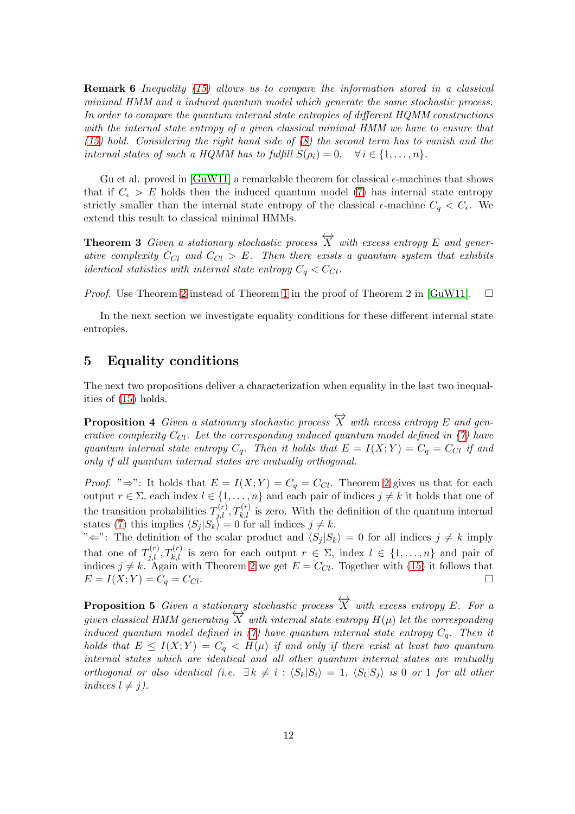Remark 6 Inequality [\(15\)](#page-10-1) allows us to compare the information stored in a classical minimal HMM and a induced quantum model which generate the same stochastic process. In order to compare the quantum internal state entropies of different HQMM constructions with the internal state entropy of a given classical minimal HMM we have to ensure that  $(15)$  hold. Considering the right hand side of  $(8)$  the second term has to vanish and the internal states of such a HQMM has to fulfill  $S(\rho_i) = 0$ ,  $\forall i \in \{1, ..., n\}$ .

Gu et al. proved in  $GuW11$  a remarkable theorem for classical  $\epsilon$ -machines that shows that if  $C_{\epsilon} > E$  holds then the induced quantum model [\(7\)](#page-6-0) has internal state entropy strictly smaller than the internal state entropy of the classical  $\epsilon$ -machine  $C_q < C_{\epsilon}$ . We extend this result to classical minimal HMMs.

<span id="page-11-1"></span>**Theorem 3** Given a stationary stochastic process  $\overleftrightarrow{X}$  with excess entropy E and generative complexity  $C_{Cl}$  and  $C_{Cl} > E$ . Then there exists a quantum system that exhibits identical statistics with internal state entropy  $C_q < C_{Cl}$ .

*Proof.* Use Theorem [2](#page-5-3) instead of Theorem [1](#page-4-3) in the proof of Theorem 2 in [\[GuW11\]](#page-17-1).  $\Box$ 

In the next section we investigate equality conditions for these different internal state entropies.

### <span id="page-11-0"></span>5 Equality conditions

The next two propositions deliver a characterization when equality in the last two inequalities of [\(15\)](#page-10-1) holds.

**Proposition 4** Given a stationary stochastic process  $\overleftrightarrow{X}$  with excess entropy E and generative complexity  $C_{Cl}$ . Let the corresponding induced quantum model defined in [\(7\)](#page-6-0) have quantum internal state entropy  $C_q$ . Then it holds that  $E = I(X;Y) = C_q = C_{Cl}$  if and only if all quantum internal states are mutually orthogonal.

*Proof.* " $\Rightarrow$ ": It holds that  $E = I(X;Y) = C_q = C_{Cl}$ . Theorem [2](#page-5-3) gives us that for each output  $r \in \Sigma$ , each index  $l \in \{1, \ldots, n\}$  and each pair of indices  $j \neq k$  it holds that one of the transition probabilities  $T_{j,l}^{(r)}$ ,  $T_{k,l}^{(r)}$  is zero. With the definition of the quantum internal states [\(7\)](#page-6-0) this implies  $\langle S_j | S_k \rangle = 0$  for all indices  $j \neq k$ .

" $\Leftarrow$ ": The definition of the scalar product and  $\langle S_i | S_k \rangle = 0$  for all indices  $j \neq k$  imply that one of  $T_{j,l}^{(r)}, T_{k,l}^{(r)}$  is zero for each output  $r \in \Sigma$ , index  $l \in \{1, \ldots, n\}$  and pair of indices  $j \neq k$ . Again with Theorem [2](#page-5-3) we get  $E = C_{Cl}$ . Together with [\(15\)](#page-10-1) it follows that  $E = I(X; Y) = C_q = C_{Cl}.$ 

**Proposition 5** Given a stationary stochastic process  $\overleftrightarrow{X}$  with excess entropy E. For a given classical HMM generating  $\overleftrightarrow{X}$  with internal state entropy  $H(\mu)$  let the corresponding induced quantum model defined in [\(7\)](#page-6-0) have quantum internal state entropy  $C_q$ . Then it holds that  $E \leq I(X;Y) = C_q < H(\mu)$  if and only if there exist at least two quantum internal states which are identical and all other quantum internal states are mutually orthogonal or also identical (i.e.  $\exists k \neq i : \langle S_k | S_i \rangle = 1, \langle S_l | S_j \rangle$  is 0 or 1 for all other indices  $l \neq j$ ).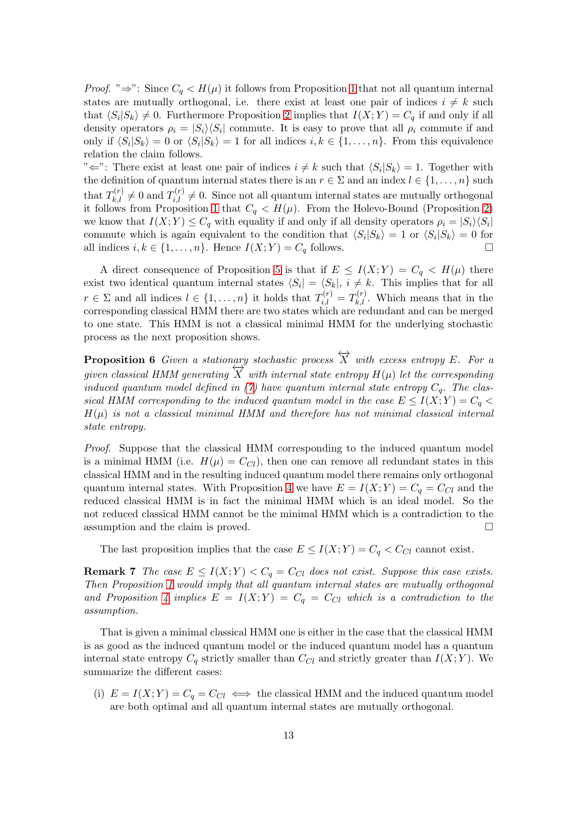*Proof.* " $\Rightarrow$ ": Since  $C_q < H(\mu)$  it follows from Proposition [1](#page-7-1) that not all quantum internal states are mutually orthogonal, i.e. there exist at least one pair of indices  $i \neq k$  such that  $\langle S_i | S_k \rangle \neq 0$ . Furthermore Proposition [2](#page-7-1) implies that  $I(X; Y) = C_q$  if and only if all density operators  $\rho_i = |S_i\rangle\langle S_i|$  commute. It is easy to prove that all  $\rho_i$  commute if and only if  $\langle S_i | S_k \rangle = 0$  or  $\langle S_i | S_k \rangle = 1$  for all indices  $i, k \in \{1, ..., n\}$ . From this equivalence relation the claim follows.

" $\Leftrightarrow$ ": There exist at least one pair of indices  $i \neq k$  such that  $\langle S_i | S_k \rangle = 1$ . Together with the definition of quantum internal states there is an  $r \in \Sigma$  and an index  $l \in \{1, ..., n\}$  such that  $T_{k,l}^{(r)} \neq 0$  and  $T_{i,l}^{(r)} \neq 0$ . Since not all quantum internal states are mutually orthogonal it follows from Proposition [1](#page-7-1) that  $C_q < H(\mu)$ . From the Holevo-Bound (Proposition [2\)](#page-7-1) we know that  $I(X;Y) \leq C_q$  with equality if and only if all density operators  $\rho_i = |S_i\rangle\langle S_i|$ commute which is again equivalent to the condition that  $\langle S_i | S_k \rangle = 1$  or  $\langle S_i | S_k \rangle = 0$  for all indices  $i, k \in \{1, \ldots, n\}$ . Hence  $I(X; Y) = C_q$  follows.

A direct consequence of Proposition [5](#page-12-0) is that if  $E \leq I(X;Y) = C_q < H(\mu)$  there exist two identical quantum internal states  $\langle S_i | = \langle S_k |, i \neq k$ . This implies that for all  $r \in \Sigma$  and all indices  $l \in \{1, \ldots, n\}$  it holds that  $T_{i,l}^{(r)} = T_{k,l}^{(r)}$ . Which means that in the corresponding classical HMM there are two states which are redundant and can be merged to one state. This HMM is not a classical minimal HMM for the underlying stochastic process as the next proposition shows.

<span id="page-12-0"></span>**Proposition 6** Given a stationary stochastic process  $\overleftrightarrow{X}$  with excess entropy E. For a given classical HMM generating  $\overleftrightarrow{X}$  with internal state entropy  $H(\mu)$  let the corresponding induced quantum model defined in [\(7\)](#page-6-0) have quantum internal state entropy  $C_a$ . The classical HMM corresponding to the induced quantum model in the case  $E \leq I(X;Y) = C_q$  $H(\mu)$  is not a classical minimal HMM and therefore has not minimal classical internal state entropy.

Proof. Suppose that the classical HMM corresponding to the induced quantum model is a minimal HMM (i.e.  $H(\mu) = C_{Cl}$ ), then one can remove all redundant states in this classical HMM and in the resulting induced quantum model there remains only orthogonal quantum internal states. With Proposition [4](#page-12-0) we have  $E = I(X;Y) = C_q = C_{Cl}$  and the reduced classical HMM is in fact the minimal HMM which is an ideal model. So the not reduced classical HMM cannot be the minimal HMM which is a contradiction to the assumption and the claim is proved.  $\square$ 

The last proposition implies that the case  $E \leq I(X;Y) = C_q < C_{Cl}$  cannot exist.

**Remark 7** The case  $E \leq I(X;Y) < C_q = C_{Cl}$  does not exist. Suppose this case exists. Then Proposition [1](#page-7-1) would imply that all quantum internal states are mutually orthogonal and Proposition [4](#page-12-0) implies  $E = I(X;Y) = C_q = C_{Cl}$  which is a contradiction to the assumption.

That is given a minimal classical HMM one is either in the case that the classical HMM is as good as the induced quantum model or the induced quantum model has a quantum internal state entropy  $C_q$  strictly smaller than  $C_{Cl}$  and strictly greater than  $I(X; Y)$ . We summarize the different cases:

(i)  $E = I(X; Y) = C_q = C_{Cl} \iff$  the classical HMM and the induced quantum model are both optimal and all quantum internal states are mutually orthogonal.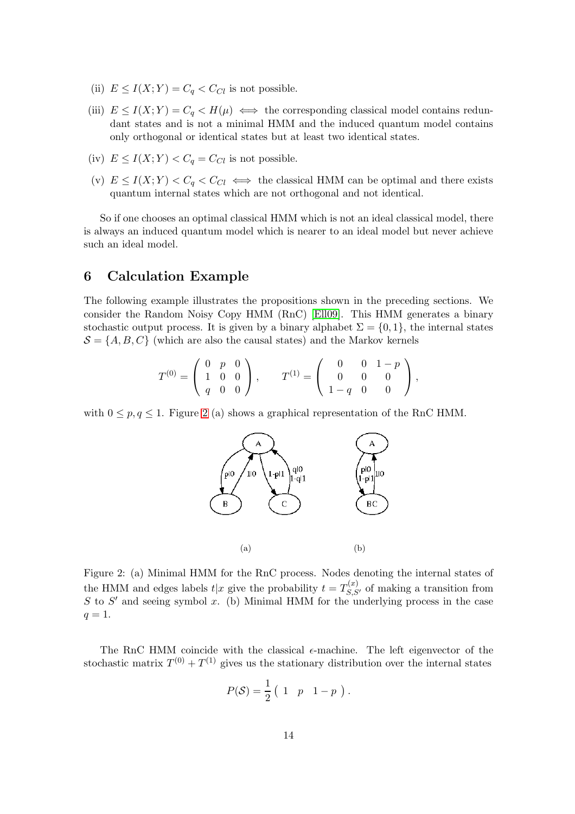- (ii)  $E \leq I(X;Y) = C_q < C_{Cl}$  is not possible.
- (iii)  $E \le I(X;Y) = C_q < H(\mu) \iff$  the corresponding classical model contains redundant states and is not a minimal HMM and the induced quantum model contains only orthogonal or identical states but at least two identical states.
- (iv)  $E \leq I(X;Y) < C_q = C_{Cl}$  is not possible.
- (v)  $E \leq I(X;Y) < C_q < C_{Cl} \iff$  the classical HMM can be optimal and there exists quantum internal states which are not orthogonal and not identical.

So if one chooses an optimal classical HMM which is not an ideal classical model, there is always an induced quantum model which is nearer to an ideal model but never achieve such an ideal model.

## <span id="page-13-0"></span>6 Calculation Example

The following example illustrates the propositions shown in the preceding sections. We consider the Random Noisy Copy HMM (RnC) [\[Ell09\]](#page-17-12). This HMM generates a binary stochastic output process. It is given by a binary alphabet  $\Sigma = \{0, 1\}$ , the internal states  $\mathcal{S} = \{A, B, C\}$  (which are also the causal states) and the Markov kernels

$$
T^{(0)} = \left(\begin{array}{ccc} 0 & p & 0 \\ 1 & 0 & 0 \\ q & 0 & 0 \end{array}\right), \qquad T^{(1)} = \left(\begin{array}{ccc} 0 & 0 & 1-p \\ 0 & 0 & 0 \\ 1-q & 0 & 0 \end{array}\right),
$$

with  $0 \leq p, q \leq 1$ . Figure [2](#page-13-1) (a) shows a graphical representation of the RnC HMM.



Figure 2: (a) Minimal HMM for the RnC process. Nodes denoting the internal states of the HMM and edges labels  $t|x$  give the probability  $t = T_{S,S'}^{(x)}$  of making a transition from S to S' and seeing symbol x. (b) Minimal HMM for the underlying process in the case  $q=1$ .

<span id="page-13-1"></span>The RnC HMM coincide with the classical  $\epsilon$ -machine. The left eigenvector of the stochastic matrix  $T^{(0)} + T^{(1)}$  gives us the stationary distribution over the internal states

$$
P(S) = \frac{1}{2} \begin{pmatrix} 1 & p & 1-p \end{pmatrix}.
$$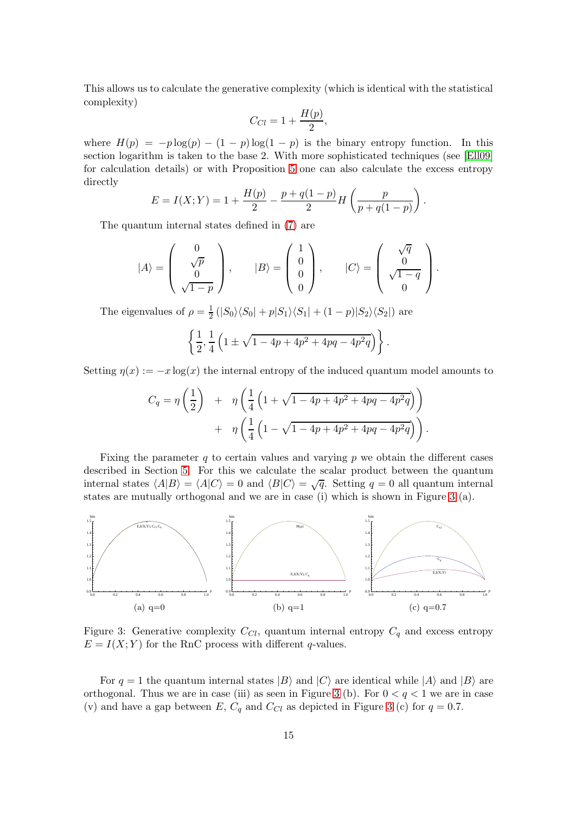This allows us to calculate the generative complexity (which is identical with the statistical complexity)

$$
C_{Cl} = 1 + \frac{H(p)}{2},
$$

where  $H(p) = -p \log(p) - (1 - p) \log(1 - p)$  is the binary entropy function. In this section logarithm is taken to the base 2. With more sophisticated techniques (see [\[Ell09\]](#page-17-12) for calculation details) or with Proposition [5](#page-9-1) one can also calculate the excess entropy directly

$$
E = I(X;Y) = 1 + \frac{H(p)}{2} - \frac{p + q(1-p)}{2}H\left(\frac{p}{p + q(1-p)}\right).
$$

The quantum internal states defined in [\(7\)](#page-6-0) are

$$
|A\rangle = \begin{pmatrix} 0 \\ \sqrt{p} \\ 0 \\ \sqrt{1-p} \end{pmatrix}, \qquad |B\rangle = \begin{pmatrix} 1 \\ 0 \\ 0 \\ 0 \end{pmatrix}, \qquad |C\rangle = \begin{pmatrix} \sqrt{q} \\ 0 \\ \sqrt{1-q} \\ 0 \end{pmatrix}.
$$

The eigenvalues of  $\rho = \frac{1}{2}$  $\frac{1}{2} (|S_0\rangle\langle S_0| + p|S_1\rangle\langle S_1| + (1-p)|S_2\rangle\langle S_2|)$  are

$$
\left\{\frac{1}{2},\frac{1}{4}\left(1\pm\sqrt{1-4p+4p^2+4pq-4p^2q}\right)\right\}.
$$

Setting  $\eta(x) := -x \log(x)$  the internal entropy of the induced quantum model amounts to

$$
C_q = \eta \left(\frac{1}{2}\right) + \eta \left(\frac{1}{4} \left(1 + \sqrt{1 - 4p + 4p^2 + 4pq - 4p^2q}\right)\right) + \eta \left(\frac{1}{4} \left(1 - \sqrt{1 - 4p + 4p^2 + 4pq - 4p^2q}\right)\right).
$$

Fixing the parameter  $q$  to certain values and varying  $p$  we obtain the different cases described in Section [5.](#page-11-0) For this we calculate the scalar product between the quantum internal states  $\langle A|B\rangle = \langle A|C\rangle = 0$  and  $\langle B|C\rangle = \sqrt{q}$ . Setting  $q = 0$  all quantum internal states are mutually orthogonal and we are in case (i) which is shown in Figure [3](#page-14-0) (a).



<span id="page-14-0"></span>Figure 3: Generative complexity  $C_{Cl}$ , quantum internal entropy  $C_q$  and excess entropy  $E = I(X; Y)$  for the RnC process with different q-values.

For  $q = 1$  the quantum internal states  $|B\rangle$  and  $|C\rangle$  are identical while  $|A\rangle$  and  $|B\rangle$  are orthogonal. Thus we are in case (iii) as seen in Figure [3](#page-14-0) (b). For  $0 < q < 1$  we are in case (v) and have a gap between E,  $C_q$  and  $C_{Cl}$  as depicted in Figure [3](#page-14-0) (c) for  $q = 0.7$ .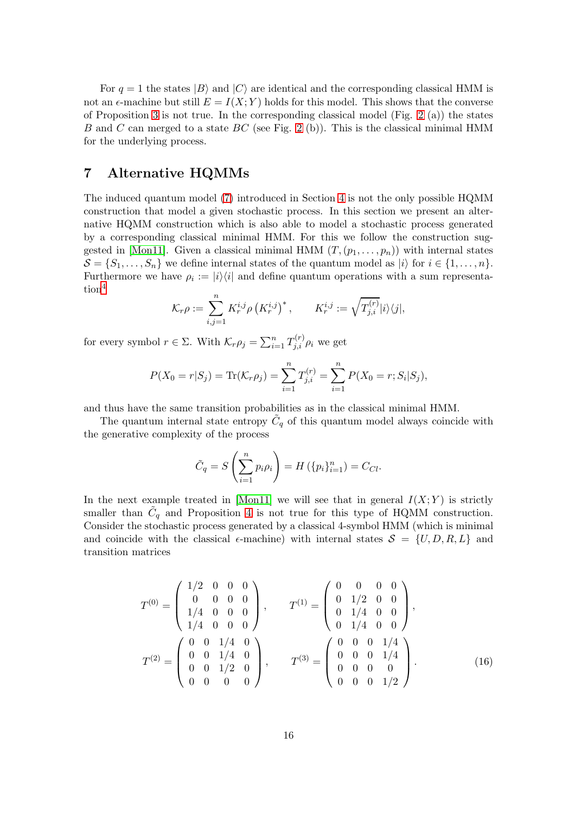For  $q = 1$  the states  $|B\rangle$  and  $|C\rangle$  are identical and the corresponding classical HMM is not an  $\epsilon$ -machine but still  $E = I(X; Y)$  holds for this model. This shows that the converse of Proposition [3](#page-7-1) is not true. In the corresponding classical model (Fig. [2](#page-13-1) (a)) the states B and C can merged to a state  $BC$  (see Fig. [2](#page-13-1) (b)). This is the classical minimal HMM for the underlying process.

#### <span id="page-15-0"></span>7 Alternative HQMMs

The induced quantum model [\(7\)](#page-6-0) introduced in Section [4](#page-5-0) is not the only possible HQMM construction that model a given stochastic process. In this section we present an alternative HQMM construction which is also able to model a stochastic process generated by a corresponding classical minimal HMM. For this we follow the construction sug-gested in [\[Mon11\]](#page-18-2). Given a classical minimal HMM  $(T,(p_1,\ldots,p_n))$  with internal states  $\mathcal{S} = \{S_1, \ldots, S_n\}$  we define internal states of the quantum model as  $|i\rangle$  for  $i \in \{1, \ldots, n\}$ . Furthermore we have  $\rho_i := |i\rangle\langle i|$  and define quantum operations with a sum representa-tion<sup>[4](#page-16-0)</sup>

$$
\mathcal{K}_r \rho := \sum_{i,j=1}^n K_r^{i,j} \rho \left( K_r^{i,j} \right)^*, \qquad K_r^{i,j} := \sqrt{T_{j,i}^{(r)}} |i\rangle\langle j|,
$$

for every symbol  $r \in \Sigma$ . With  $\mathcal{K}_r \rho_j = \sum_{i=1}^n T_{j,i}^{(r)} \rho_i$  we get

$$
P(X_0 = r | S_j) = \text{Tr}(K_r \rho_j) = \sum_{i=1}^n T_{j,i}^{(r)} = \sum_{i=1}^n P(X_0 = r; S_i | S_j),
$$

and thus have the same transition probabilities as in the classical minimal HMM.

The quantum internal state entropy  $\tilde{C}_q$  of this quantum model always coincide with the generative complexity of the process

$$
\tilde{C}_q = S\left(\sum_{i=1}^n p_i \rho_i\right) = H\left(\{p_i\}_{i=1}^n\right) = C_{Cl}.
$$

In the next example treated in [\[Mon11\]](#page-18-2) we will see that in general  $I(X; Y)$  is strictly smaller than  $\tilde{C}_q$  and Proposition [4](#page-12-0) is not true for this type of HQMM construction. Consider the stochastic process generated by a classical 4-symbol HMM (which is minimal and coincide with the classical  $\epsilon$ -machine) with internal states  $\mathcal{S} = \{U, D, R, L\}$  and transition matrices

<span id="page-15-1"></span>
$$
T^{(0)} = \begin{pmatrix} 1/2 & 0 & 0 & 0 \\ 0 & 0 & 0 & 0 \\ 1/4 & 0 & 0 & 0 \\ 1/4 & 0 & 0 & 0 \end{pmatrix}, \qquad T^{(1)} = \begin{pmatrix} 0 & 0 & 0 & 0 \\ 0 & 1/2 & 0 & 0 \\ 0 & 1/4 & 0 & 0 \\ 0 & 1/4 & 0 & 0 \end{pmatrix},
$$

$$
T^{(2)} = \begin{pmatrix} 0 & 0 & 1/4 & 0 \\ 0 & 0 & 1/4 & 0 \\ 0 & 0 & 1/2 & 0 \\ 0 & 0 & 0 & 0 \end{pmatrix}, \qquad T^{(3)} = \begin{pmatrix} 0 & 0 & 0 & 1/4 \\ 0 & 0 & 0 & 1/4 \\ 0 & 0 & 0 & 0 \\ 0 & 0 & 0 & 1/2 \end{pmatrix}.
$$
(16)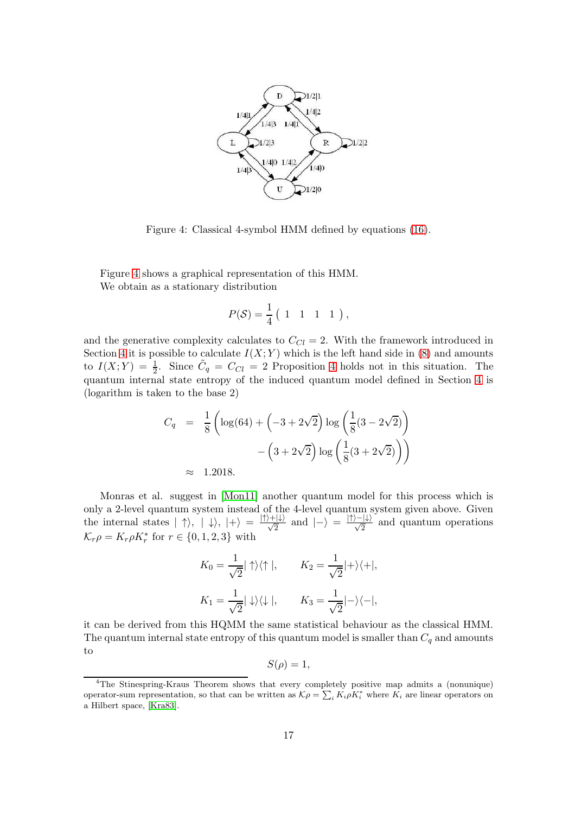

Figure 4: Classical 4-symbol HMM defined by equations [\(16\)](#page-15-1).

<span id="page-16-1"></span>Figure [4](#page-16-1) shows a graphical representation of this HMM. We obtain as a stationary distribution

$$
P(S) = \frac{1}{4} \begin{pmatrix} 1 & 1 & 1 & 1 \end{pmatrix},
$$

and the generative complexity calculates to  $C_{Cl} = 2$ . With the framework introduced in Section [4](#page-5-0) it is possible to calculate  $I(X; Y)$  which is the left hand side in [\(8\)](#page-7-0) and amounts to  $I(X;Y) = \frac{1}{2}$ . Since  $\tilde{C}_q = C_{Cl} = 2$  Proposition [4](#page-12-0) holds not in this situation. The quantum internal state entropy of the induced quantum model defined in Section [4](#page-5-0) is (logarithm is taken to the base 2)

$$
C_q = \frac{1}{8} \left( \log(64) + \left( -3 + 2\sqrt{2} \right) \log \left( \frac{1}{8} (3 - 2\sqrt{2}) \right) - \left( 3 + 2\sqrt{2} \right) \log \left( \frac{1}{8} (3 + 2\sqrt{2}) \right) \right)
$$
  

$$
\approx 1.2018.
$$

Monras et al. suggest in [\[Mon11\]](#page-18-2) another quantum model for this process which is only a 2-level quantum system instead of the 4-level quantum system given above. Given the internal states  $|\uparrow\rangle$ ,  $|\downarrow\rangle$ ,  $|+\rangle = \frac{|\uparrow\rangle + |\downarrow\rangle}{\sqrt{2}}$  and  $|-\rangle = \frac{|\uparrow\rangle - |\downarrow\rangle}{\sqrt{2}}$  and quantum operations  $\mathcal{K}_r \rho = K_r \rho K_r^*$  for  $r \in \{0, 1, 2, 3\}$  with

$$
K_0 = \frac{1}{\sqrt{2}} |\uparrow\rangle\langle\uparrow|, \qquad K_2 = \frac{1}{\sqrt{2}} |+\rangle\langle+|,
$$
  

$$
K_1 = \frac{1}{\sqrt{2}} |\downarrow\rangle\langle\downarrow|, \qquad K_3 = \frac{1}{\sqrt{2}} |-\rangle\langle-|,
$$

it can be derived from this HQMM the same statistical behaviour as the classical HMM. The quantum internal state entropy of this quantum model is smaller than  $C_q$  and amounts to

$$
S(\rho) = 1,
$$

<span id="page-16-0"></span><sup>4</sup>The Stinespring-Kraus Theorem shows that every completely positive map admits a (nonunique) operator-sum representation, so that can be written as  $\mathcal{K}\rho = \sum_i K_i \rho K_i^*$  where  $K_i$  are linear operators on a Hilbert space, [\[Kra83\]](#page-17-13).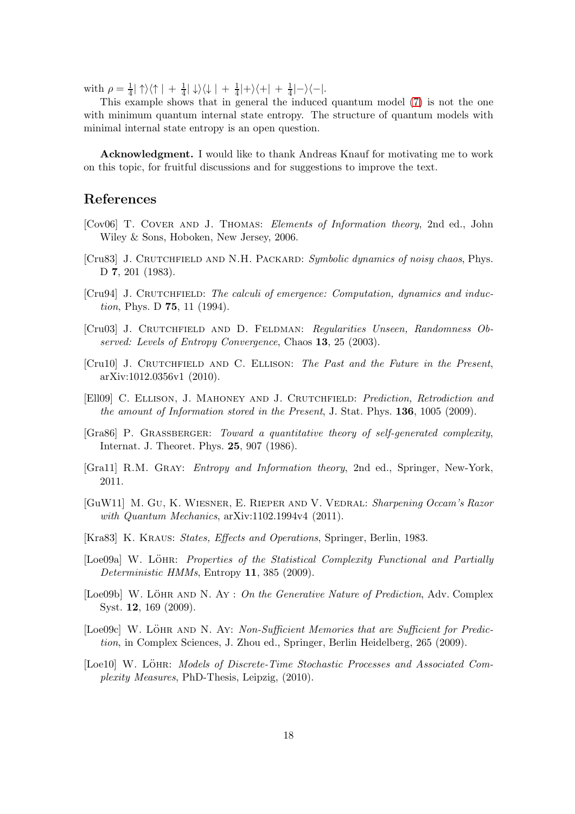with  $\rho = \frac{1}{4}$  $\frac{1}{4}$ | ↑ $\rangle$  $\langle \uparrow | + \frac{1}{4}$  $\frac{1}{4}|\downarrow\rangle\langle\downarrow| + \frac{1}{4}$  $\frac{1}{4}|+\rangle\langle +| + \frac{1}{4}$  $\frac{1}{4}|-\rangle\langle-|.$ 

This example shows that in general the induced quantum model [\(7\)](#page-6-0) is not the one with minimum quantum internal state entropy. The structure of quantum models with minimal internal state entropy is an open question.

Acknowledgment. I would like to thank Andreas Knauf for motivating me to work on this topic, for fruitful discussions and for suggestions to improve the text.

#### References

- <span id="page-17-2"></span>[Cov06] T. COVER AND J. THOMAS: *Elements of Information theory*, 2nd ed., John Wiley & Sons, Hoboken, New Jersey, 2006.
- <span id="page-17-0"></span>[Cru83] J. CRUTCHFIELD AND N.H. PACKARD: Symbolic dynamics of noisy chaos, Phys. D 7, 201 (1983).
- <span id="page-17-8"></span>[Cru94] J. CRUTCHFIELD: The calculi of emergence: Computation, dynamics and induction, Phys. D 75, 11 (1994).
- <span id="page-17-3"></span>[Cru03] J. CRUTCHFIELD AND D. FELDMAN: Regularities Unseen, Randomness Observed: Levels of Entropy Convergence, Chaos 13, 25 (2003).
- <span id="page-17-10"></span>[Cru10] J. CRUTCHFIELD AND C. ELLISON: The Past and the Future in the Present, arXiv:1012.0356v1 (2010).
- <span id="page-17-12"></span>[Ell09] C. Ellison, J. Mahoney and J. Crutchfield: Prediction, Retrodiction and the amount of Information stored in the Present, J. Stat. Phys. 136, 1005 (2009).
- <span id="page-17-9"></span>[Gra86] P. GRASSBERGER: Toward a quantitative theory of self-generated complexity, Internat. J. Theoret. Phys. 25, 907 (1986).
- <span id="page-17-11"></span>[Gra11] R.M. Gray: Entropy and Information theory, 2nd ed., Springer, New-York, 2011.
- <span id="page-17-1"></span>[GuW11] M. Gu, K. Wiesner, E. Rieper and V. Vedral: Sharpening Occam's Razor with Quantum Mechanics,  $arXiv:1102.1994v4$  (2011).
- <span id="page-17-13"></span>[Kra83] K. KRAUS: *States, Effects and Operations*, Springer, Berlin, 1983.
- <span id="page-17-5"></span>[Loe09a] W. LÖHR: Properties of the Statistical Complexity Functional and Partially Deterministic HMMs, Entropy 11, 385 (2009).
- <span id="page-17-6"></span>[Loe09b] W. LÖHR AND N. Ay : On the Generative Nature of Prediction, Adv. Complex Syst. 12, 169 (2009).
- <span id="page-17-7"></span>[Loe09c] W. LÖHR AND N. Ay: Non-Sufficient Memories that are Sufficient for Prediction, in Complex Sciences, J. Zhou ed., Springer, Berlin Heidelberg, 265 (2009).
- <span id="page-17-4"></span>[Loe10] W. Löhr: Models of Discrete-Time Stochastic Processes and Associated Complexity Measures, PhD-Thesis, Leipzig, (2010).